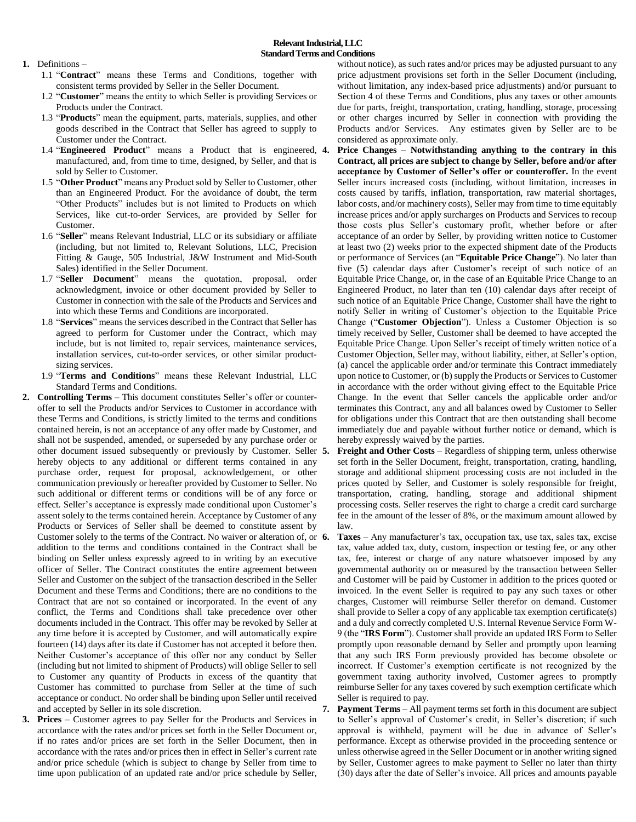- **1.** Definitions
	- 1.1 "**Contract**" means these Terms and Conditions, together with consistent terms provided by Seller in the Seller Document.
	- 1.2 "**Customer**" means the entity to which Seller is providing Services or Products under the Contract.
	- 1.3 "**Products**" mean the equipment, parts, materials, supplies, and other goods described in the Contract that Seller has agreed to supply to Customer under the Contract.
	- 1.4 "**Engineered Product**" means a Product that is engineered, manufactured, and, from time to time, designed, by Seller, and that is sold by Seller to Customer.
	- 1.5 "**Other Product**" means any Product sold by Seller to Customer, other than an Engineered Product. For the avoidance of doubt, the term "Other Products" includes but is not limited to Products on which Services, like cut-to-order Services, are provided by Seller for Customer.
	- 1.6 "**Seller**" means Relevant Industrial, LLC or its subsidiary or affiliate (including, but not limited to, Relevant Solutions, LLC, Precision Fitting & Gauge, 505 Industrial, J&W Instrument and Mid-South Sales) identified in the Seller Document.
	- 1.7 "**Seller Document**" means the quotation, proposal, order acknowledgment, invoice or other document provided by Seller to Customer in connection with the sale of the Products and Services and into which these Terms and Conditions are incorporated.
	- 1.8 "**Services**" means the services described in the Contract that Seller has agreed to perform for Customer under the Contract, which may include, but is not limited to, repair services, maintenance services, installation services, cut-to-order services, or other similar productsizing services.
	- 1.9 "**Terms and Conditions**" means these Relevant Industrial, LLC Standard Terms and Conditions.
- **2. Controlling Terms**  This document constitutes Seller's offer or counteroffer to sell the Products and/or Services to Customer in accordance with these Terms and Conditions, is strictly limited to the terms and conditions contained herein, is not an acceptance of any offer made by Customer, and shall not be suspended, amended, or superseded by any purchase order or other document issued subsequently or previously by Customer. Seller 5. hereby objects to any additional or different terms contained in any purchase order, request for proposal, acknowledgement, or other communication previously or hereafter provided by Customer to Seller. No such additional or different terms or conditions will be of any force or effect. Seller's acceptance is expressly made conditional upon Customer's assent solely to the terms contained herein. Acceptance by Customer of any Products or Services of Seller shall be deemed to constitute assent by Customer solely to the terms of the Contract. No waiver or alteration of, or 6. addition to the terms and conditions contained in the Contract shall be binding on Seller unless expressly agreed to in writing by an executive officer of Seller. The Contract constitutes the entire agreement between Seller and Customer on the subject of the transaction described in the Seller Document and these Terms and Conditions; there are no conditions to the Contract that are not so contained or incorporated. In the event of any conflict, the Terms and Conditions shall take precedence over other documents included in the Contract. This offer may be revoked by Seller at any time before it is accepted by Customer, and will automatically expire fourteen (14) days after its date if Customer has not accepted it before then. Neither Customer's acceptance of this offer nor any conduct by Seller (including but not limited to shipment of Products) will oblige Seller to sell to Customer any quantity of Products in excess of the quantity that Customer has committed to purchase from Seller at the time of such acceptance or conduct. No order shall be binding upon Seller until received and accepted by Seller in its sole discretion.
- **3. Prices** Customer agrees to pay Seller for the Products and Services in accordance with the rates and/or prices set forth in the Seller Document or, if no rates and/or prices are set forth in the Seller Document, then in accordance with the rates and/or prices then in effect in Seller's current rate and/or price schedule (which is subject to change by Seller from time to time upon publication of an updated rate and/or price schedule by Seller,

without notice), as such rates and/or prices may be adjusted pursuant to any price adjustment provisions set forth in the Seller Document (including, without limitation, any index-based price adjustments) and/or pursuant to Section 4 of these Terms and Conditions, plus any taxes or other amounts due for parts, freight, transportation, crating, handling, storage, processing or other charges incurred by Seller in connection with providing the Products and/or Services. Any estimates given by Seller are to be considered as approximate only.

- **4. Price Changes Notwithstanding anything to the contrary in this Contract, all prices are subject to change by Seller, before and/or after acceptance by Customer of Seller's offer or counteroffer.** In the event Seller incurs increased costs (including, without limitation, increases in costs caused by tariffs, inflation, transportation, raw material shortages, labor costs, and/or machinery costs), Seller may from time to time equitably increase prices and/or apply surcharges on Products and Services to recoup those costs plus Seller's customary profit, whether before or after acceptance of an order by Seller, by providing written notice to Customer at least two (2) weeks prior to the expected shipment date of the Products or performance of Services (an "**Equitable Price Change**"). No later than five (5) calendar days after Customer's receipt of such notice of an Equitable Price Change, or, in the case of an Equitable Price Change to an Engineered Product, no later than ten (10) calendar days after receipt of such notice of an Equitable Price Change, Customer shall have the right to notify Seller in writing of Customer's objection to the Equitable Price Change ("**Customer Objection**"). Unless a Customer Objection is so timely received by Seller, Customer shall be deemed to have accepted the Equitable Price Change. Upon Seller's receipt of timely written notice of a Customer Objection, Seller may, without liability, either, at Seller's option, (a) cancel the applicable order and/or terminate this Contract immediately upon notice to Customer, or (b) supply the Products or Services to Customer in accordance with the order without giving effect to the Equitable Price Change. In the event that Seller cancels the applicable order and/or terminates this Contract, any and all balances owed by Customer to Seller for obligations under this Contract that are then outstanding shall become immediately due and payable without further notice or demand, which is hereby expressly waived by the parties.
- **5. Freight and Other Costs** Regardless of shipping term, unless otherwise set forth in the Seller Document, freight, transportation, crating, handling, storage and additional shipment processing costs are not included in the prices quoted by Seller, and Customer is solely responsible for freight, transportation, crating, handling, storage and additional shipment processing costs. Seller reserves the right to charge a credit card surcharge fee in the amount of the lesser of 8%, or the maximum amount allowed by law.
- **6. Taxes** Any manufacturer's tax, occupation tax, use tax, sales tax, excise tax, value added tax, duty, custom, inspection or testing fee, or any other tax, fee, interest or charge of any nature whatsoever imposed by any governmental authority on or measured by the transaction between Seller and Customer will be paid by Customer in addition to the prices quoted or invoiced. In the event Seller is required to pay any such taxes or other charges, Customer will reimburse Seller therefor on demand. Customer shall provide to Seller a copy of any applicable tax exemption certificate(s) and a duly and correctly completed U.S. Internal Revenue Service Form W-9 (the "**IRS Form**"). Customer shall provide an updated IRS Form to Seller promptly upon reasonable demand by Seller and promptly upon learning that any such IRS Form previously provided has become obsolete or incorrect. If Customer's exemption certificate is not recognized by the government taxing authority involved, Customer agrees to promptly reimburse Seller for any taxes covered by such exemption certificate which Seller is required to pay.
- **7. Payment Terms** All payment terms set forth in this document are subject to Seller's approval of Customer's credit, in Seller's discretion; if such approval is withheld, payment will be due in advance of Seller's performance. Except as otherwise provided in the proceeding sentence or unless otherwise agreed in the Seller Document or in another writing signed by Seller, Customer agrees to make payment to Seller no later than thirty (30) days after the date of Seller's invoice. All prices and amounts payable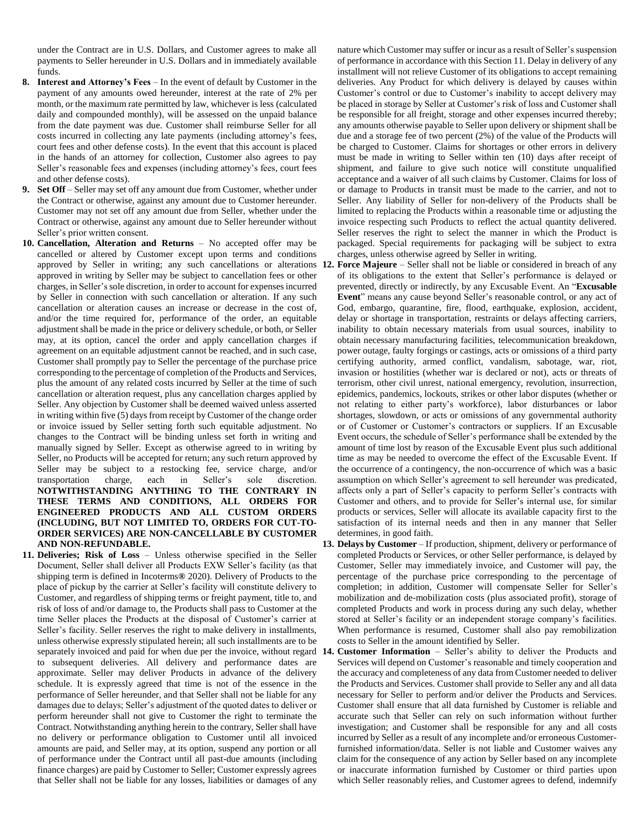under the Contract are in U.S. Dollars, and Customer agrees to make all payments to Seller hereunder in U.S. Dollars and in immediately available funds.

- **8. Interest and Attorney's Fees**  In the event of default by Customer in the payment of any amounts owed hereunder, interest at the rate of 2% per month, or the maximum rate permitted by law, whichever is less (calculated daily and compounded monthly), will be assessed on the unpaid balance from the date payment was due. Customer shall reimburse Seller for all costs incurred in collecting any late payments (including attorney's fees, court fees and other defense costs). In the event that this account is placed in the hands of an attorney for collection, Customer also agrees to pay Seller's reasonable fees and expenses (including attorney's fees, court fees and other defense costs).
- **9. Set Off** Seller may set off any amount due from Customer, whether under the Contract or otherwise, against any amount due to Customer hereunder. Customer may not set off any amount due from Seller, whether under the Contract or otherwise, against any amount due to Seller hereunder without Seller's prior written consent.
- **10. Cancellation, Alteration and Returns** No accepted offer may be cancelled or altered by Customer except upon terms and conditions approved by Seller in writing; any such cancellations or alterations 12. approved in writing by Seller may be subject to cancellation fees or other charges, in Seller's sole discretion, in order to account for expenses incurred by Seller in connection with such cancellation or alteration. If any such cancellation or alteration causes an increase or decrease in the cost of, and/or the time required for, performance of the order, an equitable adjustment shall be made in the price or delivery schedule, or both, or Seller may, at its option, cancel the order and apply cancellation charges if agreement on an equitable adjustment cannot be reached, and in such case, Customer shall promptly pay to Seller the percentage of the purchase price corresponding to the percentage of completion of the Products and Services, plus the amount of any related costs incurred by Seller at the time of such cancellation or alteration request, plus any cancellation charges applied by Seller. Any objection by Customer shall be deemed waived unless asserted in writing within five (5) days from receipt by Customer of the change order or invoice issued by Seller setting forth such equitable adjustment. No changes to the Contract will be binding unless set forth in writing and manually signed by Seller. Except as otherwise agreed to in writing by Seller, no Products will be accepted for return; any such return approved by Seller may be subject to a restocking fee, service charge, and/or transportation charge, each in Seller's sole discretion. **NOTWITHSTANDING ANYTHING TO THE CONTRARY IN THESE TERMS AND CONDITIONS, ALL ORDERS FOR ENGINEERED PRODUCTS AND ALL CUSTOM ORDERS (INCLUDING, BUT NOT LIMITED TO, ORDERS FOR CUT-TO-ORDER SERVICES) ARE NON-CANCELLABLE BY CUSTOMER AND NON-REFUNDABLE.**
- **11. Deliveries; Risk of Loss**  Unless otherwise specified in the Seller Document, Seller shall deliver all Products EXW Seller's facility (as that shipping term is defined in Incoterms**®** 2020). Delivery of Products to the place of pickup by the carrier at Seller's facility will constitute delivery to Customer, and regardless of shipping terms or freight payment, title to, and risk of loss of and/or damage to, the Products shall pass to Customer at the time Seller places the Products at the disposal of Customer's carrier at Seller's facility. Seller reserves the right to make delivery in installments, unless otherwise expressly stipulated herein; all such installments are to be to subsequent deliveries. All delivery and performance dates are approximate. Seller may deliver Products in advance of the delivery schedule. It is expressly agreed that time is not of the essence in the performance of Seller hereunder, and that Seller shall not be liable for any damages due to delays; Seller's adjustment of the quoted dates to deliver or perform hereunder shall not give to Customer the right to terminate the Contract. Notwithstanding anything herein to the contrary, Seller shall have no delivery or performance obligation to Customer until all invoiced amounts are paid, and Seller may, at its option, suspend any portion or all of performance under the Contract until all past-due amounts (including finance charges) are paid by Customer to Seller; Customer expressly agrees that Seller shall not be liable for any losses, liabilities or damages of any

nature which Customer may suffer or incur as a result of Seller's suspension of performance in accordance with this Section 11. Delay in delivery of any installment will not relieve Customer of its obligations to accept remaining deliveries. Any Product for which delivery is delayed by causes within Customer's control or due to Customer's inability to accept delivery may be placed in storage by Seller at Customer's risk of loss and Customer shall be responsible for all freight, storage and other expenses incurred thereby; any amounts otherwise payable to Seller upon delivery or shipment shall be due and a storage fee of two percent (2%) of the value of the Products will be charged to Customer. Claims for shortages or other errors in delivery must be made in writing to Seller within ten (10) days after receipt of shipment, and failure to give such notice will constitute unqualified acceptance and a waiver of all such claims by Customer. Claims for loss of or damage to Products in transit must be made to the carrier, and not to Seller. Any liability of Seller for non-delivery of the Products shall be limited to replacing the Products within a reasonable time or adjusting the invoice respecting such Products to reflect the actual quantity delivered. Seller reserves the right to select the manner in which the Product is packaged. Special requirements for packaging will be subject to extra charges, unless otherwise agreed by Seller in writing.

- **Force Majeure** Seller shall not be liable or considered in breach of any of its obligations to the extent that Seller's performance is delayed or prevented, directly or indirectly, by any Excusable Event. An "**Excusable Event**" means any cause beyond Seller's reasonable control, or any act of God, embargo, quarantine, fire, flood, earthquake, explosion, accident, delay or shortage in transportation, restraints or delays affecting carriers, inability to obtain necessary materials from usual sources, inability to obtain necessary manufacturing facilities, telecommunication breakdown, power outage, faulty forgings or castings, acts or omissions of a third party certifying authority, armed conflict, vandalism, sabotage, war, riot, invasion or hostilities (whether war is declared or not), acts or threats of terrorism, other civil unrest, national emergency, revolution, insurrection, epidemics, pandemics, lockouts, strikes or other labor disputes (whether or not relating to either party's workforce), labor disturbances or labor shortages, slowdown, or acts or omissions of any governmental authority or of Customer or Customer's contractors or suppliers. If an Excusable Event occurs, the schedule of Seller's performance shall be extended by the amount of time lost by reason of the Excusable Event plus such additional time as may be needed to overcome the effect of the Excusable Event. If the occurrence of a contingency, the non-occurrence of which was a basic assumption on which Seller's agreement to sell hereunder was predicated, affects only a part of Seller's capacity to perform Seller's contracts with Customer and others, and to provide for Seller's internal use, for similar products or services, Seller will allocate its available capacity first to the satisfaction of its internal needs and then in any manner that Seller determines, in good faith.
- **13. Delays by Customer** If production, shipment, delivery or performance of completed Products or Services, or other Seller performance, is delayed by Customer, Seller may immediately invoice, and Customer will pay, the percentage of the purchase price corresponding to the percentage of completion; in addition, Customer will compensate Seller for Seller's mobilization and de-mobilization costs (plus associated profit), storage of completed Products and work in process during any such delay, whether stored at Seller's facility or an independent storage company's facilities. When performance is resumed, Customer shall also pay remobilization costs to Seller in the amount identified by Seller.
- separately invoiced and paid for when due per the invoice, without regard **14. Customer Information**  Seller's ability to deliver the Products and Services will depend on Customer's reasonable and timely cooperation and the accuracy and completeness of any data from Customer needed to deliver the Products and Services. Customer shall provide to Seller any and all data necessary for Seller to perform and/or deliver the Products and Services. Customer shall ensure that all data furnished by Customer is reliable and accurate such that Seller can rely on such information without further investigation; and Customer shall be responsible for any and all costs incurred by Seller as a result of any incomplete and/or erroneous Customerfurnished information/data. Seller is not liable and Customer waives any claim for the consequence of any action by Seller based on any incomplete or inaccurate information furnished by Customer or third parties upon which Seller reasonably relies, and Customer agrees to defend, indemnify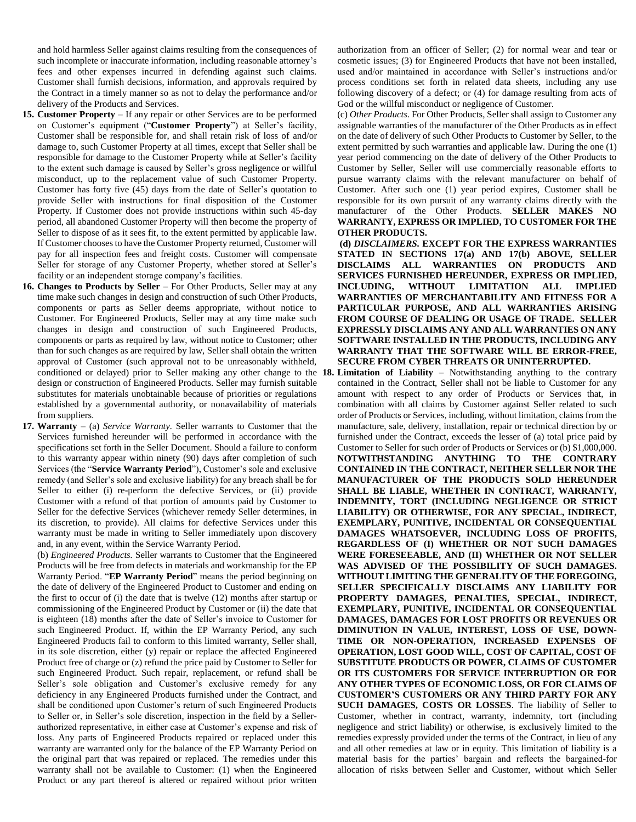and hold harmless Seller against claims resulting from the consequences of such incomplete or inaccurate information, including reasonable attorney's fees and other expenses incurred in defending against such claims. Customer shall furnish decisions, information, and approvals required by the Contract in a timely manner so as not to delay the performance and/or delivery of the Products and Services.

- **15. Customer Property**  If any repair or other Services are to be performed on Customer's equipment ("**Customer Property**") at Seller's facility, Customer shall be responsible for, and shall retain risk of loss of and/or damage to, such Customer Property at all times, except that Seller shall be responsible for damage to the Customer Property while at Seller's facility to the extent such damage is caused by Seller's gross negligence or willful misconduct, up to the replacement value of such Customer Property. Customer has forty five (45) days from the date of Seller's quotation to provide Seller with instructions for final disposition of the Customer Property. If Customer does not provide instructions within such 45-day period, all abandoned Customer Property will then become the property of Seller to dispose of as it sees fit, to the extent permitted by applicable law. If Customer chooses to have the Customer Property returned, Customer will pay for all inspection fees and freight costs. Customer will compensate Seller for storage of any Customer Property, whether stored at Seller's facility or an independent storage company's facilities.
- **16. Changes to Products by Seller**  For Other Products, Seller may at any time make such changes in design and construction of such Other Products, components or parts as Seller deems appropriate, without notice to Customer. For Engineered Products, Seller may at any time make such changes in design and construction of such Engineered Products, components or parts as required by law, without notice to Customer; other than for such changes as are required by law, Seller shall obtain the written approval of Customer (such approval not to be unreasonably withheld, conditioned or delayed) prior to Seller making any other change to the 18. design or construction of Engineered Products. Seller may furnish suitable substitutes for materials unobtainable because of priorities or regulations established by a governmental authority, or nonavailability of materials from suppliers.
- **17. Warranty** (a) *Service Warranty.* Seller warrants to Customer that the Services furnished hereunder will be performed in accordance with the specifications set forth in the Seller Document. Should a failure to conform to this warranty appear within ninety (90) days after completion of such Services (the "**Service Warranty Period**"), Customer's sole and exclusive remedy (and Seller's sole and exclusive liability) for any breach shall be for Seller to either (i) re-perform the defective Services, or (ii) provide Customer with a refund of that portion of amounts paid by Customer to Seller for the defective Services (whichever remedy Seller determines, in its discretion, to provide). All claims for defective Services under this warranty must be made in writing to Seller immediately upon discovery and, in any event, within the Service Warranty Period.

(b) *Engineered Products.* Seller warrants to Customer that the Engineered Products will be free from defects in materials and workmanship for the EP Warranty Period. "**EP Warranty Period**" means the period beginning on the date of delivery of the Engineered Product to Customer and ending on the first to occur of (i) the date that is twelve (12) months after startup or commissioning of the Engineered Product by Customer or (ii) the date that is eighteen (18) months after the date of Seller's invoice to Customer for such Engineered Product. If, within the EP Warranty Period, any such Engineered Products fail to conform to this limited warranty, Seller shall, in its sole discretion, either (y) repair or replace the affected Engineered Product free of charge or (z) refund the price paid by Customer to Seller for such Engineered Product. Such repair, replacement, or refund shall be Seller's sole obligation and Customer's exclusive remedy for any deficiency in any Engineered Products furnished under the Contract, and shall be conditioned upon Customer's return of such Engineered Products to Seller or, in Seller's sole discretion, inspection in the field by a Sellerauthorized representative, in either case at Customer's expense and risk of loss. Any parts of Engineered Products repaired or replaced under this warranty are warranted only for the balance of the EP Warranty Period on the original part that was repaired or replaced. The remedies under this warranty shall not be available to Customer: (1) when the Engineered Product or any part thereof is altered or repaired without prior written

authorization from an officer of Seller; (2) for normal wear and tear or cosmetic issues; (3) for Engineered Products that have not been installed, used and/or maintained in accordance with Seller's instructions and/or process conditions set forth in related data sheets, including any use following discovery of a defect; or (4) for damage resulting from acts of God or the willful misconduct or negligence of Customer.

(c) *Other Products*. For Other Products, Seller shall assign to Customer any assignable warranties of the manufacturer of the Other Products as in effect on the date of delivery of such Other Products to Customer by Seller, to the extent permitted by such warranties and applicable law. During the one (1) year period commencing on the date of delivery of the Other Products to Customer by Seller, Seller will use commercially reasonable efforts to pursue warranty claims with the relevant manufacturer on behalf of Customer. After such one (1) year period expires, Customer shall be responsible for its own pursuit of any warranty claims directly with the manufacturer of the Other Products. **SELLER MAKES NO WARRANTY, EXPRESS OR IMPLIED, TO CUSTOMER FOR THE OTHER PRODUCTS.**

**(d)** *DISCLAIMERS.* **EXCEPT FOR THE EXPRESS WARRANTIES STATED IN SECTIONS 17(a) AND 17(b) ABOVE, SELLER DISCLAIMS ALL WARRANTIES ON PRODUCTS AND SERVICES FURNISHED HEREUNDER, EXPRESS OR IMPLIED, INCLUDING, WITHOUT LIMITATION ALL IMPLIED WARRANTIES OF MERCHANTABILITY AND FITNESS FOR A PARTICULAR PURPOSE, AND ALL WARRANTIES ARISING FROM COURSE OF DEALING OR USAGE OF TRADE. SELLER EXPRESSLY DISCLAIMS ANY AND ALL WARRANTIES ON ANY SOFTWARE INSTALLED IN THE PRODUCTS, INCLUDING ANY WARRANTY THAT THE SOFTWARE WILL BE ERROR-FREE, SECURE FROM CYBER THREATS OR UNINTERRUPTED.**

Limitation of Liability – Notwithstanding anything to the contrary contained in the Contract, Seller shall not be liable to Customer for any amount with respect to any order of Products or Services that, in combination with all claims by Customer against Seller related to such order of Products or Services, including, without limitation, claims from the manufacture, sale, delivery, installation, repair or technical direction by or furnished under the Contract, exceeds the lesser of (a) total price paid by Customer to Seller for such order of Products or Services or (b) \$1,000,000. **NOTWITHSTANDING ANYTHING TO THE CONTRARY CONTAINED IN THE CONTRACT, NEITHER SELLER NOR THE MANUFACTURER OF THE PRODUCTS SOLD HEREUNDER SHALL BE LIABLE, WHETHER IN CONTRACT, WARRANTY, INDEMNITY, TORT (INCLUDING NEGLIGENCE OR STRICT LIABILITY) OR OTHERWISE, FOR ANY SPECIAL, INDIRECT, EXEMPLARY, PUNITIVE, INCIDENTAL OR CONSEQUENTIAL DAMAGES WHATSOEVER, INCLUDING LOSS OF PROFITS, REGARDLESS OF (I) WHETHER OR NOT SUCH DAMAGES WERE FORESEEABLE, AND (II) WHETHER OR NOT SELLER WAS ADVISED OF THE POSSIBILITY OF SUCH DAMAGES. WITHOUT LIMITING THE GENERALITY OF THE FOREGOING, SELLER SPECIFICALLY DISCLAIMS ANY LIABILITY FOR PROPERTY DAMAGES, PENALTIES, SPECIAL, INDIRECT, EXEMPLARY, PUNITIVE, INCIDENTAL OR CONSEQUENTIAL DAMAGES, DAMAGES FOR LOST PROFITS OR REVENUES OR DIMINUTION IN VALUE, INTEREST, LOSS OF USE, DOWN-TIME OR NON-OPERATION, INCREASED EXPENSES OF OPERATION, LOST GOOD WILL, COST OF CAPITAL, COST OF SUBSTITUTE PRODUCTS OR POWER, CLAIMS OF CUSTOMER OR ITS CUSTOMERS FOR SERVICE INTERRUPTION OR FOR ANY OTHER TYPES OF ECONOMIC LOSS, OR FOR CLAIMS OF CUSTOMER'S CUSTOMERS OR ANY THIRD PARTY FOR ANY SUCH DAMAGES, COSTS OR LOSSES**. The liability of Seller to Customer, whether in contract, warranty, indemnity, tort (including negligence and strict liability) or otherwise, is exclusively limited to the remedies expressly provided under the terms of the Contract, in lieu of any and all other remedies at law or in equity. This limitation of liability is a material basis for the parties' bargain and reflects the bargained-for allocation of risks between Seller and Customer, without which Seller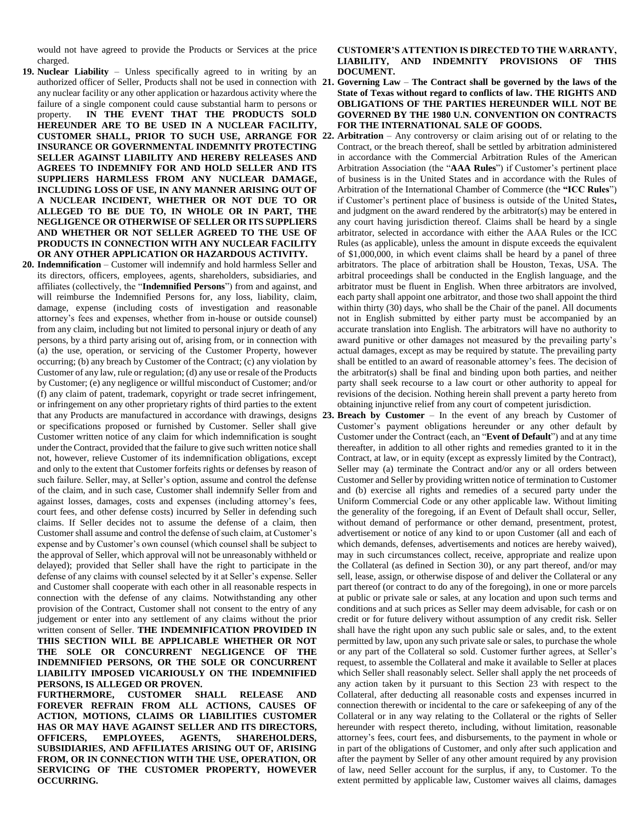would not have agreed to provide the Products or Services at the price charged.

- **19. Nuclear Liability**  Unless specifically agreed to in writing by an any nuclear facility or any other application or hazardous activity where the failure of a single component could cause substantial harm to persons or property. **IN THE EVENT THAT THE PRODUCTS SOLD HEREUNDER ARE TO BE USED IN A NUCLEAR FACILITY, INSURANCE OR GOVERNMENTAL INDEMNITY PROTECTING SELLER AGAINST LIABILITY AND HEREBY RELEASES AND AGREES TO INDEMNIFY FOR AND HOLD SELLER AND ITS SUPPLIERS HARMLESS FROM ANY NUCLEAR DAMAGE, INCLUDING LOSS OF USE, IN ANY MANNER ARISING OUT OF A NUCLEAR INCIDENT, WHETHER OR NOT DUE TO OR ALLEGED TO BE DUE TO, IN WHOLE OR IN PART, THE NEGLIGENCE OR OTHERWISE OF SELLER OR ITS SUPPLIERS AND WHETHER OR NOT SELLER AGREED TO THE USE OF PRODUCTS IN CONNECTION WITH ANY NUCLEAR FACILITY OR ANY OTHER APPLICATION OR HAZARDOUS ACTIVITY.**
- **20. Indemnification**  Customer will indemnify and hold harmless Seller and its directors, officers, employees, agents, shareholders, subsidiaries, and affiliates (collectively, the "**Indemnified Persons**") from and against, and will reimburse the Indemnified Persons for, any loss, liability, claim, damage, expense (including costs of investigation and reasonable attorney's fees and expenses, whether from in-house or outside counsel) from any claim, including but not limited to personal injury or death of any persons, by a third party arising out of, arising from, or in connection with (a) the use, operation, or servicing of the Customer Property, however occurring; (b) any breach by Customer of the Contract; (c) any violation by Customer of any law, rule or regulation; (d) any use or resale of the Products by Customer; (e) any negligence or willful misconduct of Customer; and/or (f) any claim of patent, trademark, copyright or trade secret infringement, or infringement on any other proprietary rights of third parties to the extent that any Products are manufactured in accordance with drawings, designs or specifications proposed or furnished by Customer. Seller shall give Customer written notice of any claim for which indemnification is sought under the Contract, provided that the failure to give such written notice shall not, however, relieve Customer of its indemnification obligations, except and only to the extent that Customer forfeits rights or defenses by reason of such failure. Seller, may, at Seller's option, assume and control the defense of the claim, and in such case, Customer shall indemnify Seller from and against losses, damages, costs and expenses (including attorney's fees, court fees, and other defense costs) incurred by Seller in defending such claims. If Seller decides not to assume the defense of a claim, then Customer shall assume and control the defense of such claim, at Customer's expense and by Customer's own counsel (which counsel shall be subject to the approval of Seller, which approval will not be unreasonably withheld or delayed); provided that Seller shall have the right to participate in the defense of any claims with counsel selected by it at Seller's expense. Seller and Customer shall cooperate with each other in all reasonable respects in connection with the defense of any claims. Notwithstanding any other provision of the Contract, Customer shall not consent to the entry of any judgement or enter into any settlement of any claims without the prior written consent of Seller. **THE INDEMNIFICATION PROVIDED IN THIS SECTION WILL BE APPLICABLE WHETHER OR NOT THE SOLE OR CONCURRENT NEGLIGENCE OF THE INDEMNIFIED PERSONS, OR THE SOLE OR CONCURRENT LIABILITY IMPOSED VICARIOUSLY ON THE INDEMNIFIED PERSONS, IS ALLEGED OR PROVEN.**

**FURTHERMORE, CUSTOMER SHALL RELEASE AND FOREVER REFRAIN FROM ALL ACTIONS, CAUSES OF ACTION, MOTIONS, CLAIMS OR LIABILITIES CUSTOMER HAS OR MAY HAVE AGAINST SELLER AND ITS DIRECTORS, OFFICERS, EMPLOYEES, AGENTS, SHAREHOLDERS, SUBSIDIARIES, AND AFFILIATES ARISING OUT OF, ARISING FROM, OR IN CONNECTION WITH THE USE, OPERATION, OR SERVICING OF THE CUSTOMER PROPERTY, HOWEVER OCCURRING.**

**CUSTOMER'S ATTENTION IS DIRECTED TO THE WARRANTY, LIABILITY, AND INDEMNITY PROVISIONS OF THIS DOCUMENT.**

- authorized officer of Seller, Products shall not be used in connection with **21. Governing Law The Contract shall be governed by the laws of the State of Texas without regard to conflicts of law. THE RIGHTS AND OBLIGATIONS OF THE PARTIES HEREUNDER WILL NOT BE GOVERNED BY THE 1980 U.N. CONVENTION ON CONTRACTS FOR THE INTERNATIONAL SALE OF GOODS.**
- **CUSTOMER SHALL, PRIOR TO SUCH USE, ARRANGE FOR 22. Arbitration**  Any controversy or claim arising out of or relating to the Contract, or the breach thereof, shall be settled by arbitration administered in accordance with the Commercial Arbitration Rules of the American Arbitration Association (the "**AAA Rules**") if Customer's pertinent place of business is in the United States and in accordance with the Rules of Arbitration of the International Chamber of Commerce (the **"ICC Rules**") if Customer's pertinent place of business is outside of the United States**,** and judgment on the award rendered by the arbitrator(s) may be entered in any court having jurisdiction thereof. Claims shall be heard by a single arbitrator, selected in accordance with either the AAA Rules or the ICC Rules (as applicable), unless the amount in dispute exceeds the equivalent of \$1,000,000, in which event claims shall be heard by a panel of three arbitrators. The place of arbitration shall be Houston, Texas, USA. The arbitral proceedings shall be conducted in the English language, and the arbitrator must be fluent in English. When three arbitrators are involved, each party shall appoint one arbitrator, and those two shall appoint the third within thirty (30) days, who shall be the Chair of the panel. All documents not in English submitted by either party must be accompanied by an accurate translation into English. The arbitrators will have no authority to award punitive or other damages not measured by the prevailing party's actual damages, except as may be required by statute. The prevailing party shall be entitled to an award of reasonable attorney's fees. The decision of the arbitrator(s) shall be final and binding upon both parties, and neither party shall seek recourse to a law court or other authority to appeal for revisions of the decision. Nothing herein shall prevent a party hereto from obtaining injunctive relief from any court of competent jurisdiction.

**Breach by Customer – In the event of any breach by Customer of** Customer's payment obligations hereunder or any other default by Customer under the Contract (each, an "**Event of Default**") and at any time thereafter, in addition to all other rights and remedies granted to it in the Contract, at law, or in equity (except as expressly limited by the Contract), Seller may (a) terminate the Contract and/or any or all orders between Customer and Seller by providing written notice of termination to Customer and (b) exercise all rights and remedies of a secured party under the Uniform Commercial Code or any other applicable law. Without limiting the generality of the foregoing, if an Event of Default shall occur, Seller, without demand of performance or other demand, presentment, protest, advertisement or notice of any kind to or upon Customer (all and each of which demands, defenses, advertisements and notices are hereby waived), may in such circumstances collect, receive, appropriate and realize upon the Collateral (as defined in Section 30), or any part thereof, and/or may sell, lease, assign, or otherwise dispose of and deliver the Collateral or any part thereof (or contract to do any of the foregoing), in one or more parcels at public or private sale or sales, at any location and upon such terms and conditions and at such prices as Seller may deem advisable, for cash or on credit or for future delivery without assumption of any credit risk. Seller shall have the right upon any such public sale or sales, and, to the extent permitted by law, upon any such private sale or sales, to purchase the whole or any part of the Collateral so sold. Customer further agrees, at Seller's request, to assemble the Collateral and make it available to Seller at places which Seller shall reasonably select. Seller shall apply the net proceeds of any action taken by it pursuant to this Section 23 with respect to the Collateral, after deducting all reasonable costs and expenses incurred in connection therewith or incidental to the care or safekeeping of any of the Collateral or in any way relating to the Collateral or the rights of Seller hereunder with respect thereto, including, without limitation, reasonable attorney's fees, court fees, and disbursements, to the payment in whole or in part of the obligations of Customer, and only after such application and after the payment by Seller of any other amount required by any provision of law, need Seller account for the surplus, if any, to Customer. To the extent permitted by applicable law, Customer waives all claims, damages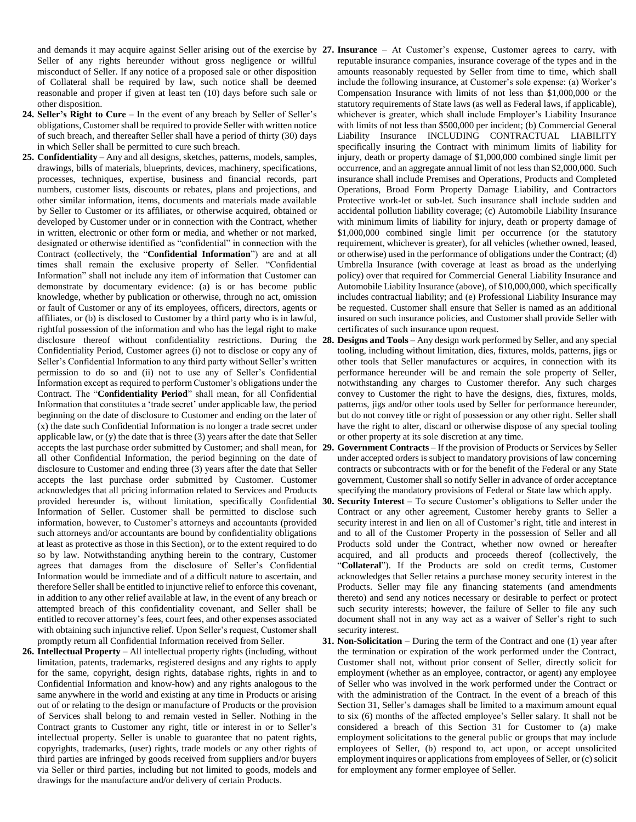and demands it may acquire against Seller arising out of the exercise by **27. Insurance** – At Customer's expense, Customer agrees to carry, with Seller of any rights hereunder without gross negligence or willful misconduct of Seller. If any notice of a proposed sale or other disposition of Collateral shall be required by law, such notice shall be deemed reasonable and proper if given at least ten (10) days before such sale or other disposition.

- **24. Seller's Right to Cure**  In the event of any breach by Seller of Seller's obligations, Customer shall be required to provide Seller with written notice of such breach, and thereafter Seller shall have a period of thirty (30) days in which Seller shall be permitted to cure such breach.
- **25. Confidentiality**  Any and all designs, sketches, patterns, models, samples, drawings, bills of materials, blueprints, devices, machinery, specifications, processes, techniques, expertise, business and financial records, part numbers, customer lists, discounts or rebates, plans and projections, and other similar information, items, documents and materials made available by Seller to Customer or its affiliates, or otherwise acquired, obtained or developed by Customer under or in connection with the Contract, whether in written, electronic or other form or media, and whether or not marked, designated or otherwise identified as "confidential" in connection with the Contract (collectively, the "**Confidential Information**") are and at all times shall remain the exclusive property of Seller. "Confidential Information" shall not include any item of information that Customer can demonstrate by documentary evidence: (a) is or has become public knowledge, whether by publication or otherwise, through no act, omission or fault of Customer or any of its employees, officers, directors, agents or affiliates, or (b) is disclosed to Customer by a third party who is in lawful, rightful possession of the information and who has the legal right to make disclosure thereof without confidentiality restrictions. During the 28. Confidentiality Period, Customer agrees (i) not to disclose or copy any of Seller's Confidential Information to any third party without Seller's written permission to do so and (ii) not to use any of Seller's Confidential Information except as required to perform Customer's obligations under the Contract. The "**Confidentiality Period**" shall mean, for all Confidential Information that constitutes a 'trade secret' under applicable law, the period beginning on the date of disclosure to Customer and ending on the later of (x) the date such Confidential Information is no longer a trade secret under applicable law, or (y) the date that is three (3) years after the date that Seller accepts the last purchase order submitted by Customer; and shall mean, for 29. all other Confidential Information, the period beginning on the date of disclosure to Customer and ending three (3) years after the date that Seller accepts the last purchase order submitted by Customer. Customer acknowledges that all pricing information related to Services and Products Information of Seller. Customer shall be permitted to disclose such information, however, to Customer's attorneys and accountants (provided such attorneys and/or accountants are bound by confidentiality obligations at least as protective as those in this Section), or to the extent required to do so by law. Notwithstanding anything herein to the contrary, Customer agrees that damages from the disclosure of Seller's Confidential Information would be immediate and of a difficult nature to ascertain, and therefore Seller shall be entitled to injunctive relief to enforce this covenant, in addition to any other relief available at law, in the event of any breach or attempted breach of this confidentiality covenant, and Seller shall be entitled to recover attorney's fees, court fees, and other expenses associated with obtaining such injunctive relief. Upon Seller's request, Customer shall promptly return all Confidential Information received from Seller.
- **26. Intellectual Property**  All intellectual property rights (including, without limitation, patents, trademarks, registered designs and any rights to apply for the same, copyright, design rights, database rights, rights in and to Confidential Information and know-how) and any rights analogous to the same anywhere in the world and existing at any time in Products or arising out of or relating to the design or manufacture of Products or the provision of Services shall belong to and remain vested in Seller. Nothing in the Contract grants to Customer any right, title or interest in or to Seller's intellectual property. Seller is unable to guarantee that no patent rights, copyrights, trademarks, (user) rights, trade models or any other rights of third parties are infringed by goods received from suppliers and/or buyers via Seller or third parties, including but not limited to goods, models and drawings for the manufacture and/or delivery of certain Products.
- reputable insurance companies, insurance coverage of the types and in the amounts reasonably requested by Seller from time to time, which shall include the following insurance, at Customer's sole expense: (a) Worker's Compensation Insurance with limits of not less than \$1,000,000 or the statutory requirements of State laws (as well as Federal laws, if applicable), whichever is greater, which shall include Employer's Liability Insurance with limits of not less than \$500,000 per incident; (b) Commercial General Liability Insurance INCLUDING CONTRACTUAL LIABILITY specifically insuring the Contract with minimum limits of liability for injury, death or property damage of \$1,000,000 combined single limit per occurrence, and an aggregate annual limit of not less than \$2,000,000. Such insurance shall include Premises and Operations, Products and Completed Operations, Broad Form Property Damage Liability, and Contractors Protective work-let or sub-let. Such insurance shall include sudden and accidental pollution liability coverage; (c) Automobile Liability Insurance with minimum limits of liability for injury, death or property damage of \$1,000,000 combined single limit per occurrence (or the statutory requirement, whichever is greater), for all vehicles (whether owned, leased, or otherwise) used in the performance of obligations under the Contract; (d) Umbrella Insurance (with coverage at least as broad as the underlying policy) over that required for Commercial General Liability Insurance and Automobile Liability Insurance (above), of \$10,000,000, which specifically includes contractual liability; and (e) Professional Liability Insurance may be requested. Customer shall ensure that Seller is named as an additional insured on such insurance policies, and Customer shall provide Seller with certificates of such insurance upon request.
- **Designs and Tools Any design work performed by Seller, and any special** tooling, including without limitation, dies, fixtures, molds, patterns, jigs or other tools that Seller manufactures or acquires, in connection with its performance hereunder will be and remain the sole property of Seller, notwithstanding any charges to Customer therefor. Any such charges convey to Customer the right to have the designs, dies, fixtures, molds, patterns, jigs and/or other tools used by Seller for performance hereunder, but do not convey title or right of possession or any other right. Seller shall have the right to alter, discard or otherwise dispose of any special tooling or other property at its sole discretion at any time.
- **29. Government Contracts**  If the provision of Products or Services by Seller under accepted orders is subject to mandatory provisions of law concerning contracts or subcontracts with or for the benefit of the Federal or any State government, Customer shall so notify Seller in advance of order acceptance specifying the mandatory provisions of Federal or State law which apply.
- provided hereunder is, without limitation, specifically Confidential **30. Security Interest**  To secure Customer's obligations to Seller under the Contract or any other agreement, Customer hereby grants to Seller a security interest in and lien on all of Customer's right, title and interest in and to all of the Customer Property in the possession of Seller and all Products sold under the Contract, whether now owned or hereafter acquired, and all products and proceeds thereof (collectively, the "**Collateral**"). If the Products are sold on credit terms, Customer acknowledges that Seller retains a purchase money security interest in the Products. Seller may file any financing statements (and amendments thereto) and send any notices necessary or desirable to perfect or protect such security interests; however, the failure of Seller to file any such document shall not in any way act as a waiver of Seller's right to such security interest.
	- **31. Non-Solicitation**  During the term of the Contract and one (1) year after the termination or expiration of the work performed under the Contract, Customer shall not, without prior consent of Seller, directly solicit for employment (whether as an employee, contractor, or agent) any employee of Seller who was involved in the work performed under the Contract or with the administration of the Contract. In the event of a breach of this Section 31, Seller's damages shall be limited to a maximum amount equal to six (6) months of the affected employee's Seller salary. It shall not be considered a breach of this Section 31 for Customer to (a) make employment solicitations to the general public or groups that may include employees of Seller, (b) respond to, act upon, or accept unsolicited employment inquires or applications from employees of Seller, or (c) solicit for employment any former employee of Seller.